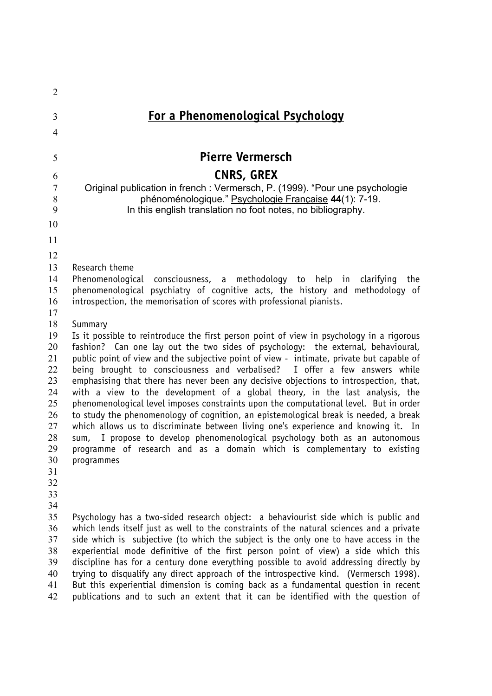| $\overline{2}$      |                                                                                                                                                                     |
|---------------------|---------------------------------------------------------------------------------------------------------------------------------------------------------------------|
| 3<br>$\overline{4}$ | <u>For a Phenomenological Psychology</u>                                                                                                                            |
| 5                   | <b>Pierre Vermersch</b>                                                                                                                                             |
|                     |                                                                                                                                                                     |
| 6                   | <b>CNRS, GREX</b>                                                                                                                                                   |
| $\tau$<br>8         | Original publication in french: Vermersch, P. (1999). "Pour une psychologie<br>phénoménologique." Psychologie Française 44(1): 7-19.                                |
| 9                   | In this english translation no foot notes, no bibliography.                                                                                                         |
| 10                  |                                                                                                                                                                     |
| 11                  |                                                                                                                                                                     |
|                     |                                                                                                                                                                     |
| 12<br>13            |                                                                                                                                                                     |
| 14                  | Research theme<br>Phenomenological<br>consciousness, a methodology to help in<br>clarifying<br>the                                                                  |
| 15                  | phenomenological psychiatry of cognitive acts, the history and methodology of                                                                                       |
| 16                  | introspection, the memorisation of scores with professional pianists.                                                                                               |
| 17                  |                                                                                                                                                                     |
| 18                  | Summary                                                                                                                                                             |
| 19                  | Is it possible to reintroduce the first person point of view in psychology in a rigorous                                                                            |
| 20                  | fashion? Can one lay out the two sides of psychology: the external, behavioural,                                                                                    |
| 21                  | public point of view and the subjective point of view - intimate, private but capable of                                                                            |
| 22<br>23            | being brought to consciousness and verbalised? I offer a few answers while<br>emphasising that there has never been any decisive objections to introspection, that, |
| 24                  | with a view to the development of a global theory, in the last analysis, the                                                                                        |
| 25                  | phenomenological level imposes constraints upon the computational level. But in order                                                                               |
| 26                  | to study the phenomenology of cognition, an epistemological break is needed, a break                                                                                |
| 27                  | which allows us to discriminate between living one's experience and knowing it. In                                                                                  |
| 28                  | I propose to develop phenomenological psychology both as an autonomous<br>sum,                                                                                      |
| 29                  | programme of research and as a domain which is complementary to existing                                                                                            |
| 30                  | programmes                                                                                                                                                          |
| 31                  |                                                                                                                                                                     |
| 32<br>33            |                                                                                                                                                                     |
| 34                  |                                                                                                                                                                     |
| 35                  | Psychology has a two-sided research object: a behaviourist side which is public and                                                                                 |
| 36                  | which lends itself just as well to the constraints of the natural sciences and a private                                                                            |
| 37                  | side which is subjective (to which the subject is the only one to have access in the                                                                                |
| 38                  | experiential mode definitive of the first person point of view) a side which this                                                                                   |
| 39                  | discipline has for a century done everything possible to avoid addressing directly by                                                                               |
| 40                  | trying to disqualify any direct approach of the introspective kind. (Vermersch 1998).                                                                               |
| 41                  | But this experiential dimension is coming back as a fundamental question in recent                                                                                  |
| 42                  | publications and to such an extent that it can be identified with the question of                                                                                   |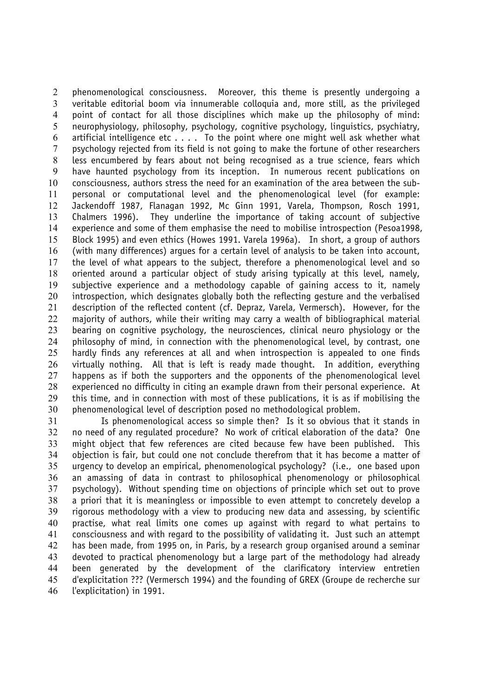phenomenological consciousness. Moreover, this theme is presently undergoing a veritable editorial boom via innumerable colloquia and, more still, as the privileged point of contact for all those disciplines which make up the philosophy of mind: neurophysiology, philosophy, psychology, cognitive psychology, linguistics, psychiatry, 6 artificial intelligence etc  $\dots$ . To the point where one might well ask whether what psychology rejected from its field is not going to make the fortune of other researchers less encumbered by fears about not being recognised as a true science, fears which have haunted psychology from its inception. In numerous recent publications on consciousness, authors stress the need for an examination of the area between the sub-personal or computational level and the phenomenological level (for example: Jackendoff 1987, Flanagan 1992, Mc Ginn 1991, Varela, Thompson, Rosch 1991, Chalmers 1996). They underline the importance of taking account of subjective experience and some of them emphasise the need to mobilise introspection (Pesoa1998, Block 1995) and even ethics (Howes 1991. Varela 1996a). In short, a group of authors (with many differences) argues for a certain level of analysis to be taken into account, the level of what appears to the subject, therefore a phenomenological level and so oriented around a particular object of study arising typically at this level, namely, subjective experience and a methodology capable of gaining access to it, namely 20 introspection, which designates globally both the reflecting gesture and the verbalised description of the reflected content (cf. Depraz, Varela, Vermersch). However, for the majority of authors, while their writing may carry a wealth of bibliographical material bearing on cognitive psychology, the neurosciences, clinical neuro physiology or the philosophy of mind, in connection with the phenomenological level, by contrast, one hardly finds any references at all and when introspection is appealed to one finds virtually nothing. All that is left is ready made thought. In addition, everything happens as if both the supporters and the opponents of the phenomenological level experienced no difficulty in citing an example drawn from their personal experience. At this time, and in connection with most of these publications, it is as if mobilising the phenomenological level of description posed no methodological problem.

Is phenomenological access so simple then? Is it so obvious that it stands in no need of any regulated procedure? No work of critical elaboration of the data? One might object that few references are cited because few have been published. This objection is fair, but could one not conclude therefrom that it has become a matter of urgency to develop an empirical, phenomenological psychology? (i.e., one based upon an amassing of data in contrast to philosophical phenomenology or philosophical psychology). Without spending time on objections of principle which set out to prove a priori that it is meaningless or impossible to even attempt to concretely develop a rigorous methodology with a view to producing new data and assessing, by scientific practise, what real limits one comes up against with regard to what pertains to consciousness and with regard to the possibility of validating it. Just such an attempt has been made, from 1995 on, in Paris, by a research group organised around a seminar devoted to practical phenomenology but a large part of the methodology had already been generated by the development of the clarificatory interview entretien d'explicitation ??? (Vermersch 1994) and the founding of GREX (Groupe de recherche sur l'explicitation) in 1991.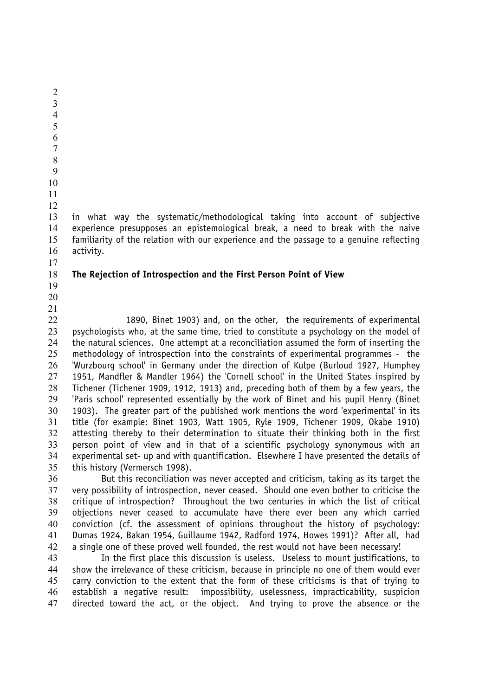in what way the systematic/methodological taking into account of subjective experience presupposes an epistemological break, a need to break with the naive familiarity of the relation with our experience and the passage to a genuine reflecting activity. **The Rejection of Introspection and the First Person Point of View**  1890, Binet 1903) and, on the other, the requirements of experimental 23 psychologists who, at the same time, tried to constitute a psychology on the model of the natural sciences. One attempt at a reconciliation assumed the form of inserting the

 

methodology of introspection into the constraints of experimental programmes - the 'Wurzbourg school' in Germany under the direction of Kulpe (Burloud 1927, Humphey 1951, Mandfler & Mandler 1964) the 'Cornell school' in the United States inspired by Tichener (Tichener 1909, 1912, 1913) and, preceding both of them by a few years, the 'Paris school' represented essentially by the work of Binet and his pupil Henry (Binet 1903). The greater part of the published work mentions the word 'experimental' in its title (for example: Binet 1903, Watt 1905, Ryle 1909, Tichener 1909, Okabe 1910) attesting thereby to their determination to situate their thinking both in the first person point of view and in that of a scientific psychology synonymous with an experimental set- up and with quantification. Elsewhere I have presented the details of this history (Vermersch 1998).

But this reconciliation was never accepted and criticism, taking as its target the very possibility of introspection, never ceased. Should one even bother to criticise the critique of introspection? Throughout the two centuries in which the list of critical objections never ceased to accumulate have there ever been any which carried conviction (cf. the assessment of opinions throughout the history of psychology: Dumas 1924, Bakan 1954, Guillaume 1942, Radford 1974, Howes 1991)? After all, had a single one of these proved well founded, the rest would not have been necessary!

In the first place this discussion is useless. Useless to mount justifications, to show the irrelevance of these criticism, because in principle no one of them would ever carry conviction to the extent that the form of these criticisms is that of trying to establish a negative result: impossibility, uselessness, impracticability, suspicion directed toward the act, or the object. And trying to prove the absence or the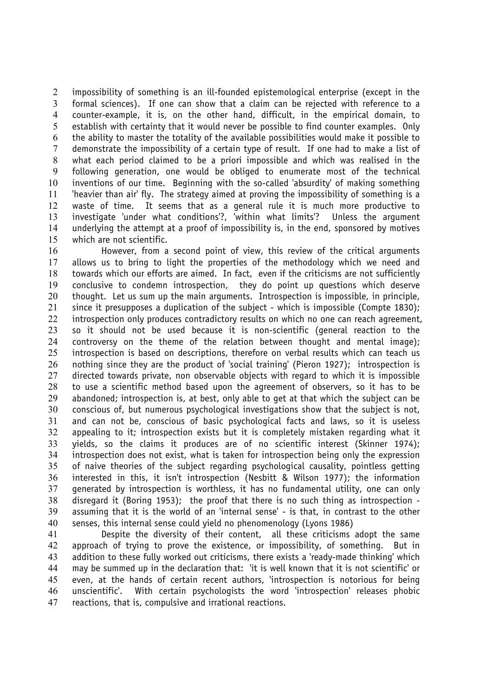impossibility of something is an ill-founded epistemological enterprise (except in the formal sciences). If one can show that a claim can be rejected with reference to a counter-example, it is, on the other hand, difficult, in the empirical domain, to establish with certainty that it would never be possible to find counter examples. Only the ability to master the totality of the available possibilities would make it possible to demonstrate the impossibility of a certain type of result. If one had to make a list of what each period claimed to be a priori impossible and which was realised in the following generation, one would be obliged to enumerate most of the technical inventions of our time. Beginning with the so-called 'absurdity' of making something 'heavier than air' fly. The strategy aimed at proving the impossibility of something is a waste of time. It seems that as a general rule it is much more productive to investigate 'under what conditions'?, 'within what limits'? Unless the argument underlying the attempt at a proof of impossibility is, in the end, sponsored by motives which are not scientific.

However, from a second point of view, this review of the critical arguments allows us to bring to light the properties of the methodology which we need and towards which our efforts are aimed. In fact, even if the criticisms are not sufficiently conclusive to condemn introspection, they do point up questions which deserve 20 thought. Let us sum up the main arguments. Introspection is impossible, in principle, since it presupposes a duplication of the subject - which is impossible (Compte 1830); 22 introspection only produces contradictory results on which no one can reach agreement, so it should not be used because it is non-scientific (general reaction to the controversy on the theme of the relation between thought and mental image); introspection is based on descriptions, therefore on verbal results which can teach us nothing since they are the product of 'social training' (Pieron 1927); introspection is directed towards private, non observable objects with regard to which it is impossible to use a scientific method based upon the agreement of observers, so it has to be abandoned; introspection is, at best, only able to get at that which the subject can be conscious of, but numerous psychological investigations show that the subject is not, and can not be, conscious of basic psychological facts and laws, so it is useless appealing to it; introspection exists but it is completely mistaken regarding what it yields, so the claims it produces are of no scientific interest (Skinner 1974); introspection does not exist, what is taken for introspection being only the expression of naive theories of the subject regarding psychological causality, pointless getting interested in this, it isn't introspection (Nesbitt & Wilson 1977); the information generated by introspection is worthless, it has no fundamental utility, one can only disregard it (Boring 1953); the proof that there is no such thing as introspection - assuming that it is the world of an 'internal sense' - is that, in contrast to the other senses, this internal sense could yield no phenomenology (Lyons 1986)

Despite the diversity of their content, all these criticisms adopt the same approach of trying to prove the existence, or impossibility, of something. But in addition to these fully worked out criticisms, there exists a 'ready-made thinking' which may be summed up in the declaration that: 'it is well known that it is not scientific' or even, at the hands of certain recent authors, 'introspection is notorious for being unscientific'. With certain psychologists the word 'introspection' releases phobic reactions, that is, compulsive and irrational reactions.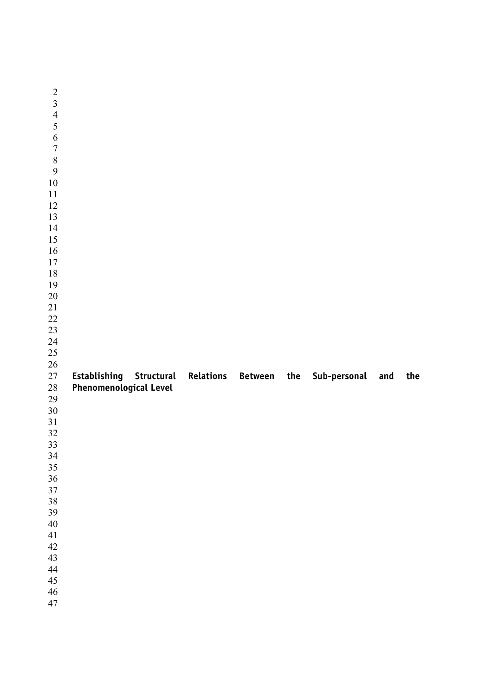| $\overline{c}$          |                                               |  |              |     |     |
|-------------------------|-----------------------------------------------|--|--------------|-----|-----|
| $\overline{\mathbf{3}}$ |                                               |  |              |     |     |
| $\overline{4}$          |                                               |  |              |     |     |
| $\overline{5}$          |                                               |  |              |     |     |
| $\boldsymbol{6}$        |                                               |  |              |     |     |
| $\boldsymbol{7}$        |                                               |  |              |     |     |
| 8                       |                                               |  |              |     |     |
| 9                       |                                               |  |              |     |     |
| $10\,$                  |                                               |  |              |     |     |
| $11\,$                  |                                               |  |              |     |     |
| 12                      |                                               |  |              |     |     |
| 13                      |                                               |  |              |     |     |
| 14                      |                                               |  |              |     |     |
| 15                      |                                               |  |              |     |     |
| 16                      |                                               |  |              |     |     |
| $17\,$                  |                                               |  |              |     |     |
| 18                      |                                               |  |              |     |     |
| 19                      |                                               |  |              |     |     |
| $20\,$                  |                                               |  |              |     |     |
| $21\,$                  |                                               |  |              |     |     |
| $22\,$                  |                                               |  |              |     |     |
| 23                      |                                               |  |              |     |     |
| 24                      |                                               |  |              |     |     |
| 25                      |                                               |  |              |     |     |
|                         |                                               |  |              |     |     |
|                         |                                               |  |              |     |     |
| $26\,$<br>27            |                                               |  |              |     |     |
| $28\,$                  | Establishing Structural Relations Between the |  | Sub-personal | and | the |
|                         | <b>Phenomenological Level</b>                 |  |              |     |     |
| 29                      |                                               |  |              |     |     |
| $30\,$<br>31            |                                               |  |              |     |     |
| 32                      |                                               |  |              |     |     |
| 33                      |                                               |  |              |     |     |
| 34                      |                                               |  |              |     |     |
| 35                      |                                               |  |              |     |     |
| 36                      |                                               |  |              |     |     |
| $37\,$                  |                                               |  |              |     |     |
| 38                      |                                               |  |              |     |     |
| 39                      |                                               |  |              |     |     |
| $40\,$                  |                                               |  |              |     |     |
| $41\,$                  |                                               |  |              |     |     |
| 42                      |                                               |  |              |     |     |
| 43                      |                                               |  |              |     |     |
| 44                      |                                               |  |              |     |     |
| 45                      |                                               |  |              |     |     |
| 46<br>47                |                                               |  |              |     |     |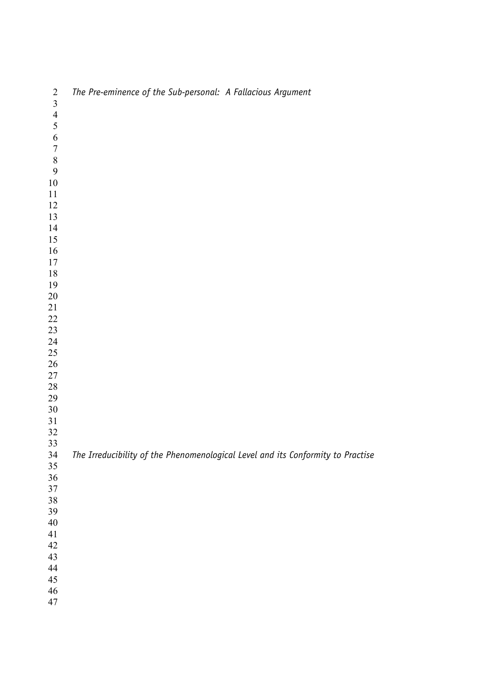| $\overline{2}$          | The Pre-eminence of the Sub-personal: A Fallacious Argument                     |
|-------------------------|---------------------------------------------------------------------------------|
| $\overline{\mathbf{3}}$ |                                                                                 |
| $\frac{4}{5}$           |                                                                                 |
|                         |                                                                                 |
| $\boldsymbol{6}$        |                                                                                 |
| $\sqrt{ }$              |                                                                                 |
| $\,8\,$                 |                                                                                 |
| 9                       |                                                                                 |
| $10\,$                  |                                                                                 |
| 11                      |                                                                                 |
| 12                      |                                                                                 |
| 13                      |                                                                                 |
| 14                      |                                                                                 |
| 15                      |                                                                                 |
| 16                      |                                                                                 |
| 17                      |                                                                                 |
| 18                      |                                                                                 |
| 19                      |                                                                                 |
| $20\,$                  |                                                                                 |
| 21                      |                                                                                 |
| $22\,$                  |                                                                                 |
| $23\,$                  |                                                                                 |
| 24                      |                                                                                 |
| $25\,$                  |                                                                                 |
| $26\,$                  |                                                                                 |
| $27\,$                  |                                                                                 |
| $28\,$                  |                                                                                 |
| 29                      |                                                                                 |
| $30\,$                  |                                                                                 |
| $31\,$                  |                                                                                 |
| $32\,$                  |                                                                                 |
| 33                      |                                                                                 |
| 34                      | The Irreducibility of the Phenomenological Level and its Conformity to Practise |
| 35                      |                                                                                 |
| 36                      |                                                                                 |
| 37                      |                                                                                 |
| 38                      |                                                                                 |
| 39                      |                                                                                 |
| $40\,$                  |                                                                                 |
| 41                      |                                                                                 |
| 42                      |                                                                                 |
| 43                      |                                                                                 |
| 44                      |                                                                                 |
| 45                      |                                                                                 |
| 46                      |                                                                                 |
| 47                      |                                                                                 |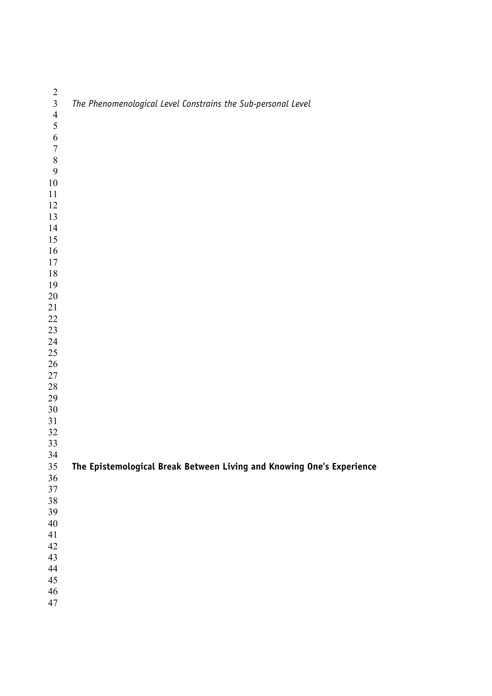| $\frac{2}{3}$   | The Phenomenological Level Constrains the Sub-personal Level          |
|-----------------|-----------------------------------------------------------------------|
| $\overline{4}$  |                                                                       |
| 5               |                                                                       |
| 6<br>$\sqrt{ }$ |                                                                       |
| 8               |                                                                       |
| 9               |                                                                       |
| $10\,$          |                                                                       |
| 11              |                                                                       |
| 12              |                                                                       |
| 13              |                                                                       |
| 14              |                                                                       |
| 15              |                                                                       |
| 16<br>$17$      |                                                                       |
| $18\,$          |                                                                       |
| 19              |                                                                       |
| $20\,$          |                                                                       |
| $21\,$          |                                                                       |
| $22\,$          |                                                                       |
| 23              |                                                                       |
| 24              |                                                                       |
| 25<br>$26\,$    |                                                                       |
| $27\,$          |                                                                       |
| $28\,$          |                                                                       |
| 29              |                                                                       |
| $30\,$          |                                                                       |
| $31\,$          |                                                                       |
| $32\,$          |                                                                       |
| 33              |                                                                       |
| 34<br>35        | The Epistemological Break Between Living and Knowing One's Experience |
| $36\,$          |                                                                       |
| $37\,$          |                                                                       |
| 38              |                                                                       |
| 39              |                                                                       |
| $40\,$          |                                                                       |
| 41              |                                                                       |
| $42\,$<br>43    |                                                                       |
| $44\,$          |                                                                       |
| $45\,$          |                                                                       |
| 46              |                                                                       |
| 47              |                                                                       |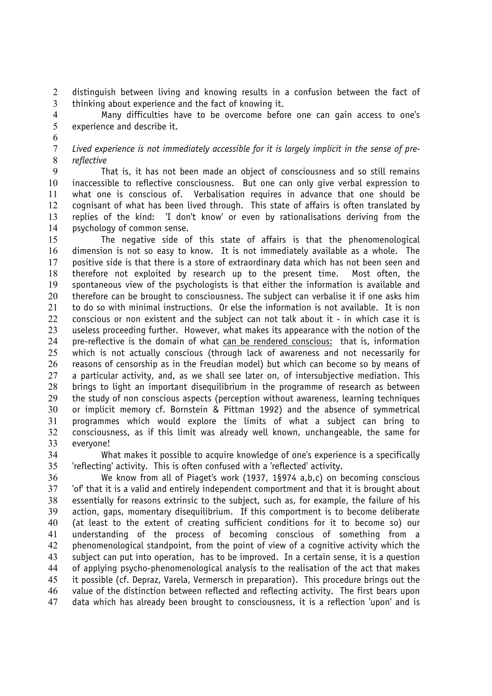distinguish between living and knowing results in a confusion between the fact of thinking about experience and the fact of knowing it.

Many difficulties have to be overcome before one can gain access to one's experience and describe it.

*Lived experience is not immediately accessible for it is largely implicit in the sense of pre-reflective*

That is, it has not been made an object of consciousness and so still remains inaccessible to reflective consciousness. But one can only give verbal expression to what one is conscious of. Verbalisation requires in advance that one should be cognisant of what has been lived through. This state of affairs is often translated by replies of the kind: 'I don't know' or even by rationalisations deriving from the psychology of common sense.

The negative side of this state of affairs is that the phenomenological dimension is not so easy to know. It is not immediately available as a whole. The positive side is that there is a store of extraordinary data which has not been seen and therefore not exploited by research up to the present time. Most often, the spontaneous view of the psychologists is that either the information is available and 20 therefore can be brought to consciousness. The subject can verbalise it if one asks him to do so with minimal instructions. Or else the information is not available. It is non conscious or non existent and the subject can not talk about it - in which case it is useless proceeding further. However, what makes its appearance with the notion of the pre-reflective is the domain of what can be rendered conscious: that is, information which is not actually conscious (through lack of awareness and not necessarily for reasons of censorship as in the Freudian model) but which can become so by means of 27 a particular activity, and, as we shall see later on, of intersubjective mediation. This brings to light an important disequilibrium in the programme of research as between the study of non conscious aspects (perception without awareness, learning techniques or implicit memory cf. Bornstein & Pittman 1992) and the absence of symmetrical programmes which would explore the limits of what a subject can bring to consciousness, as if this limit was already well known, unchangeable, the same for everyone!

What makes it possible to acquire knowledge of one's experience is a specifically 'reflecting' activity. This is often confused with a 'reflected' activity.

We know from all of Piaget's work (1937, 1§974 a,b,c) on becoming conscious 'of' that it is a valid and entirely independent comportment and that it is brought about essentially for reasons extrinsic to the subject, such as, for example, the failure of his action, gaps, momentary disequilibrium. If this comportment is to become deliberate (at least to the extent of creating sufficient conditions for it to become so) our understanding of the process of becoming conscious of something from a phenomenological standpoint, from the point of view of a cognitive activity which the subject can put into operation, has to be improved. In a certain sense, it is a question of applying psycho-phenomenological analysis to the realisation of the act that makes it possible (cf. Depraz, Varela, Vermersch in preparation). This procedure brings out the value of the distinction between reflected and reflecting activity. The first bears upon data which has already been brought to consciousness, it is a reflection 'upon' and is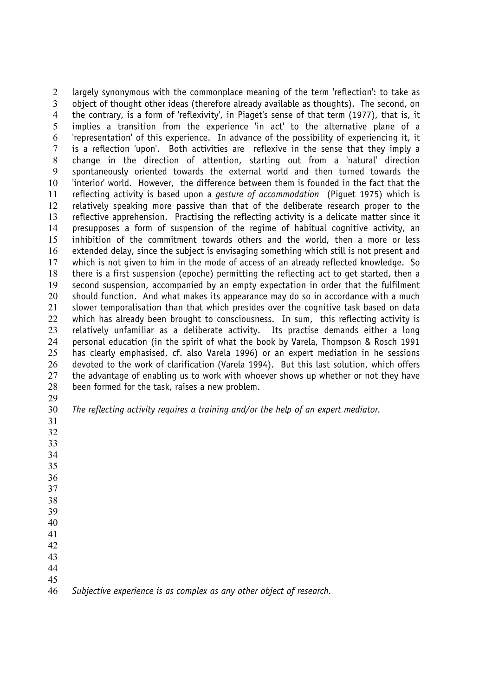largely synonymous with the commonplace meaning of the term 'reflection': to take as object of thought other ideas (therefore already available as thoughts). The second, on the contrary, is a form of 'reflexivity', in Piaget's sense of that term (1977), that is, it implies a transition from the experience 'in act' to the alternative plane of a 'representation' of this experience. In advance of the possibility of experiencing it, it is a reflection 'upon'. Both activities are reflexive in the sense that they imply a change in the direction of attention, starting out from a 'natural' direction spontaneously oriented towards the external world and then turned towards the 'interior' world. However, the difference between them is founded in the fact that the reflecting activity is based upon a *gesture of accommodation* (Piguet 1975) which is relatively speaking more passive than that of the deliberate research proper to the reflective apprehension. Practising the reflecting activity is a delicate matter since it presupposes a form of suspension of the regime of habitual cognitive activity, an inhibition of the commitment towards others and the world, then a more or less extended delay, since the subject is envisaging something which still is not present and which is not given to him in the mode of access of an already reflected knowledge. So there is a first suspension (epoche) permitting the reflecting act to get started, then a second suspension, accompanied by an empty expectation in order that the fulfilment should function. And what makes its appearance may do so in accordance with a much slower temporalisation than that which presides over the cognitive task based on data 22 which has already been brought to consciousness. In sum, this reflecting activity is relatively unfamiliar as a deliberate activity. Its practise demands either a long personal education (in the spirit of what the book by Varela, Thompson & Rosch 1991 has clearly emphasised, cf. also Varela 1996) or an expert mediation in he sessions devoted to the work of clarification (Varela 1994). But this last solution, which offers 27 the advantage of enabling us to work with whoever shows up whether or not they have been formed for the task, raises a new problem. 

- *The reflecting activity requires a training and/or the help of an expert mediator.*
- 
- 
- 
- 
- 
- 
- 
- 
- 
- 
- 
- 
- 
- *Subjective experience is as complex as any other object of research.*